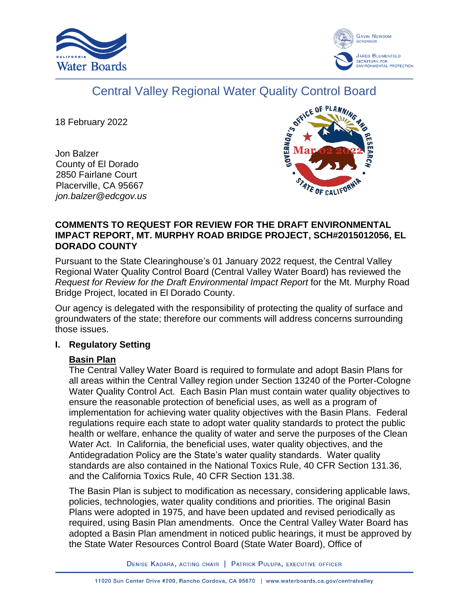



# Central Valley Regional Water Quality Control Board

18 February 2022

Jon Balzer County of El Dorado 2850 Fairlane Court Placerville, CA 95667 *jon.balzer@edcgov.us*



# **COMMENTS TO REQUEST FOR REVIEW FOR THE DRAFT ENVIRONMENTAL IMPACT REPORT, MT. MURPHY ROAD BRIDGE PROJECT, SCH#2015012056, EL DORADO COUNTY**

Pursuant to the State Clearinghouse's 01 January 2022 request, the Central Valley Regional Water Quality Control Board (Central Valley Water Board) has reviewed the *Request for Review for the Draft Environmental Impact Report* for the Mt. Murphy Road Bridge Project, located in El Dorado County.

Our agency is delegated with the responsibility of protecting the quality of surface and groundwaters of the state; therefore our comments will address concerns surrounding those issues.

# **I. Regulatory Setting**

# **Basin Plan**

The Central Valley Water Board is required to formulate and adopt Basin Plans for all areas within the Central Valley region under Section 13240 of the Porter-Cologne Water Quality Control Act. Each Basin Plan must contain water quality objectives to ensure the reasonable protection of beneficial uses, as well as a program of implementation for achieving water quality objectives with the Basin Plans. Federal regulations require each state to adopt water quality standards to protect the public health or welfare, enhance the quality of water and serve the purposes of the Clean Water Act. In California, the beneficial uses, water quality objectives, and the Antidegradation Policy are the State's water quality standards. Water quality standards are also contained in the National Toxics Rule, 40 CFR Section 131.36, and the California Toxics Rule, 40 CFR Section 131.38.

The Basin Plan is subject to modification as necessary, considering applicable laws, policies, technologies, water quality conditions and priorities. The original Basin Plans were adopted in 1975, and have been updated and revised periodically as required, using Basin Plan amendments. Once the Central Valley Water Board has adopted a Basin Plan amendment in noticed public hearings, it must be approved by the State Water Resources Control Board (State Water Board), Office of

DENISE KADARA, ACTING CHAIR | PATRICK PULUPA, EXECUTIVE OFFICER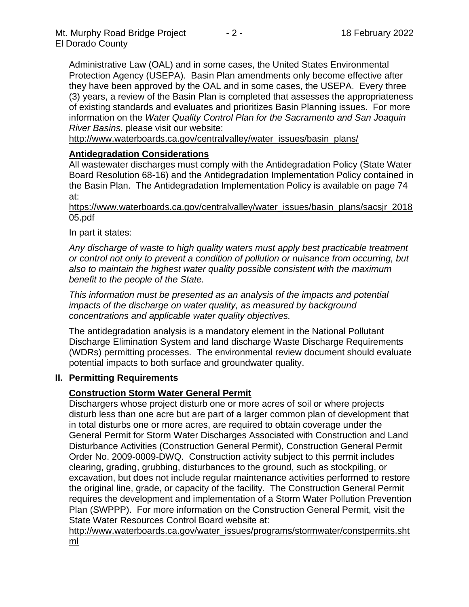Administrative Law (OAL) and in some cases, the United States Environmental Protection Agency (USEPA). Basin Plan amendments only become effective after they have been approved by the OAL and in some cases, the USEPA. Every three (3) years, a review of the Basin Plan is completed that assesses the appropriateness of existing standards and evaluates and prioritizes Basin Planning issues. For more information on the *Water Quality Control Plan for the Sacramento and San Joaquin River Basins*, please visit our website:

[http://www.waterboards.ca.gov/centralvalley/water\\_issues/basin\\_plans/](http://www.waterboards.ca.gov/centralvalley/water_issues/basin_plans/)

## **Antidegradation Considerations**

All wastewater discharges must comply with the Antidegradation Policy (State Water Board Resolution 68-16) and the Antidegradation Implementation Policy contained in the Basin Plan. The Antidegradation Implementation Policy is available on page 74 at:

https://www.waterboards.ca.gov/centralvalley/water\_issues/basin\_plans/sacsjr\_2018 05.pdf

In part it states:

*Any discharge of waste to high quality waters must apply best practicable treatment or control not only to prevent a condition of pollution or nuisance from occurring, but also to maintain the highest water quality possible consistent with the maximum benefit to the people of the State.*

*This information must be presented as an analysis of the impacts and potential impacts of the discharge on water quality, as measured by background concentrations and applicable water quality objectives.*

The antidegradation analysis is a mandatory element in the National Pollutant Discharge Elimination System and land discharge Waste Discharge Requirements (WDRs) permitting processes. The environmental review document should evaluate potential impacts to both surface and groundwater quality.

## **II. Permitting Requirements**

## **Construction Storm Water General Permit**

Dischargers whose project disturb one or more acres of soil or where projects disturb less than one acre but are part of a larger common plan of development that in total disturbs one or more acres, are required to obtain coverage under the General Permit for Storm Water Discharges Associated with Construction and Land Disturbance Activities (Construction General Permit), Construction General Permit Order No. 2009-0009-DWQ. Construction activity subject to this permit includes clearing, grading, grubbing, disturbances to the ground, such as stockpiling, or excavation, but does not include regular maintenance activities performed to restore the original line, grade, or capacity of the facility. The Construction General Permit requires the development and implementation of a Storm Water Pollution Prevention Plan (SWPPP). For more information on the Construction General Permit, visit the State Water Resources Control Board website at:

[http://www.waterboards.ca.gov/water\\_issues/programs/stormwater/constpermits.sht](http://www.waterboards.ca.gov/water_issues/programs/stormwater/constpermits.shtml) [ml](http://www.waterboards.ca.gov/water_issues/programs/stormwater/constpermits.shtml)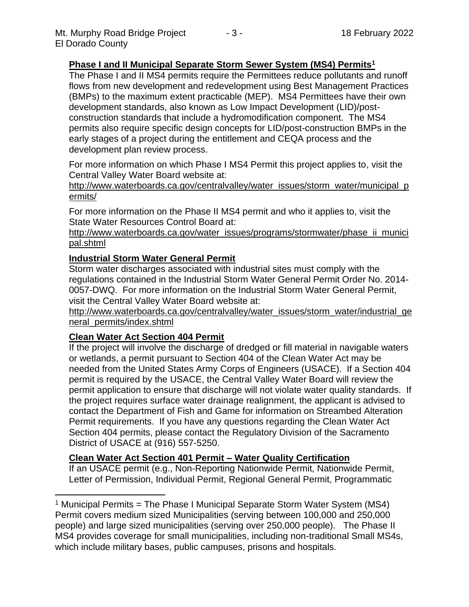# **Phase I and II Municipal Separate Storm Sewer System (MS4) Permits<sup>1</sup>**

The Phase I and II MS4 permits require the Permittees reduce pollutants and runoff flows from new development and redevelopment using Best Management Practices (BMPs) to the maximum extent practicable (MEP). MS4 Permittees have their own development standards, also known as Low Impact Development (LID)/postconstruction standards that include a hydromodification component. The MS4 permits also require specific design concepts for LID/post-construction BMPs in the early stages of a project during the entitlement and CEQA process and the development plan review process.

For more information on which Phase I MS4 Permit this project applies to, visit the Central Valley Water Board website at:

http://www.waterboards.ca.gov/centralvalley/water\_issues/storm\_water/municipal\_p ermits/

For more information on the Phase II MS4 permit and who it applies to, visit the State Water Resources Control Board at:

http://www.waterboards.ca.gov/water\_issues/programs/stormwater/phase\_ii\_munici pal.shtml

#### **Industrial Storm Water General Permit**

Storm water discharges associated with industrial sites must comply with the regulations contained in the Industrial Storm Water General Permit Order No. 2014- 0057-DWQ. For more information on the Industrial Storm Water General Permit, visit the Central Valley Water Board website at:

http://www.waterboards.ca.gov/centralvalley/water\_issues/storm\_water/industrial\_ge neral\_permits/index.shtml

## **Clean Water Act Section 404 Permit**

If the project will involve the discharge of dredged or fill material in navigable waters or wetlands, a permit pursuant to Section 404 of the Clean Water Act may be needed from the United States Army Corps of Engineers (USACE). If a Section 404 permit is required by the USACE, the Central Valley Water Board will review the permit application to ensure that discharge will not violate water quality standards. If the project requires surface water drainage realignment, the applicant is advised to contact the Department of Fish and Game for information on Streambed Alteration Permit requirements. If you have any questions regarding the Clean Water Act Section 404 permits, please contact the Regulatory Division of the Sacramento District of USACE at (916) 557-5250.

## **Clean Water Act Section 401 Permit – Water Quality Certification**

If an USACE permit (e.g., Non-Reporting Nationwide Permit, Nationwide Permit, Letter of Permission, Individual Permit, Regional General Permit, Programmatic

<sup>&</sup>lt;sup>1</sup> Municipal Permits = The Phase I Municipal Separate Storm Water System (MS4) Permit covers medium sized Municipalities (serving between 100,000 and 250,000 people) and large sized municipalities (serving over 250,000 people). The Phase II MS4 provides coverage for small municipalities, including non-traditional Small MS4s, which include military bases, public campuses, prisons and hospitals.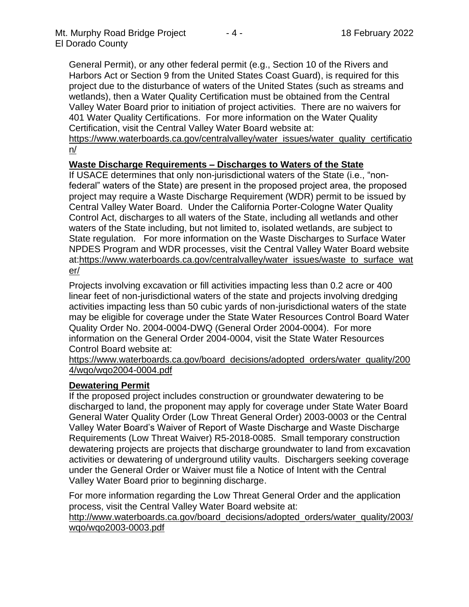General Permit), or any other federal permit (e.g., Section 10 of the Rivers and Harbors Act or Section 9 from the United States Coast Guard), is required for this project due to the disturbance of waters of the United States (such as streams and wetlands), then a Water Quality Certification must be obtained from the Central Valley Water Board prior to initiation of project activities. There are no waivers for 401 Water Quality Certifications. For more information on the Water Quality Certification, visit the Central Valley Water Board website at:

https://www.waterboards.ca.gov/centralvalley/water\_issues/water\_quality\_certificatio n/

# **Waste Discharge Requirements – Discharges to Waters of the State**

If USACE determines that only non-jurisdictional waters of the State (i.e., "nonfederal" waters of the State) are present in the proposed project area, the proposed project may require a Waste Discharge Requirement (WDR) permit to be issued by Central Valley Water Board. Under the California Porter-Cologne Water Quality Control Act, discharges to all waters of the State, including all wetlands and other waters of the State including, but not limited to, isolated wetlands, are subject to State regulation. For more information on the Waste Discharges to Surface Water NPDES Program and WDR processes, visit the Central Valley Water Board website at:https://www.waterboards.ca.gov/centralvalley/water\_issues/waste\_to\_surface\_wat er/

Projects involving excavation or fill activities impacting less than 0.2 acre or 400 linear feet of non-jurisdictional waters of the state and projects involving dredging activities impacting less than 50 cubic yards of non-jurisdictional waters of the state may be eligible for coverage under the State Water Resources Control Board Water Quality Order No. 2004-0004-DWQ (General Order 2004-0004). For more information on the General Order 2004-0004, visit the State Water Resources Control Board website at:

https://www.waterboards.ca.gov/board\_decisions/adopted\_orders/water\_quality/200 4/wqo/wqo2004-0004.pdf

## **Dewatering Permit**

If the proposed project includes construction or groundwater dewatering to be discharged to land, the proponent may apply for coverage under State Water Board General Water Quality Order (Low Threat General Order) 2003-0003 or the Central Valley Water Board's Waiver of Report of Waste Discharge and Waste Discharge Requirements (Low Threat Waiver) R5-2018-0085. Small temporary construction dewatering projects are projects that discharge groundwater to land from excavation activities or dewatering of underground utility vaults. Dischargers seeking coverage under the General Order or Waiver must file a Notice of Intent with the Central Valley Water Board prior to beginning discharge.

For more information regarding the Low Threat General Order and the application process, visit the Central Valley Water Board website at:

http://www.waterboards.ca.gov/board decisions/adopted orders/water quality/2003/ wqo/wqo2003-0003.pdf